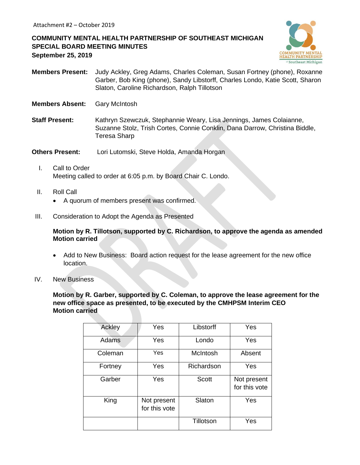## **COMMUNITY MENTAL HEALTH PARTNERSHIP OF SOUTHEAST MICHIGAN SPECIAL BOARD MEETING MINUTES September 25, 2019**



- **Members Present:** Judy Ackley, Greg Adams, Charles Coleman, Susan Fortney (phone), Roxanne Garber, Bob King (phone), Sandy Libstorff, Charles Londo, Katie Scott, Sharon Slaton, Caroline Richardson, Ralph Tillotson
- **Members Absent:** Gary McIntosh
- **Staff Present:** Kathryn Szewczuk, Stephannie Weary, Lisa Jennings, James Colaianne, Suzanne Stolz, Trish Cortes, Connie Conklin, Dana Darrow, Christina Biddle, Teresa Sharp

**Others Present:** Lori Lutomski, Steve Holda, Amanda Horgan

- I. Call to Order Meeting called to order at 6:05 p.m. by Board Chair C. Londo.
- II. Roll Call
	- A quorum of members present was confirmed.
- III. Consideration to Adopt the Agenda as Presented

**Motion by R. Tillotson, supported by C. Richardson, to approve the agenda as amended Motion carried**

- Add to New Business: Board action request for the lease agreement for the new office location.
- IV. New Business

**Motion by R. Garber, supported by C. Coleman, to approve the lease agreement for the new office space as presented, to be executed by the CMHPSM Interim CEO Motion carried**

| Ackley  | Yes                          | Libstorff    | Yes                          |
|---------|------------------------------|--------------|------------------------------|
| Adams   | Yes                          | Londo        | Yes                          |
| Coleman | Yes                          | McIntosh     | Absent                       |
| Fortney | Yes                          | Richardson   | Yes                          |
| Garber  | Yes                          | <b>Scott</b> | Not present<br>for this vote |
| King    | Not present<br>for this vote | Slaton       | Yes                          |
|         |                              | Tillotson    | Yes                          |